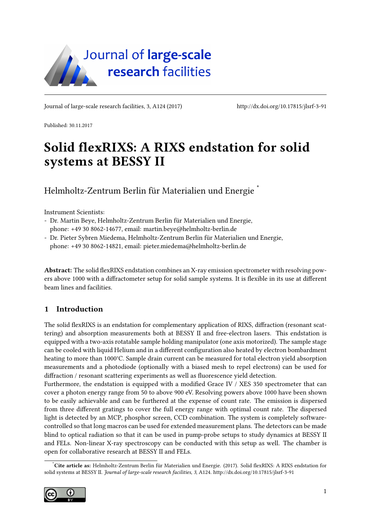

Journal of large-scale research facilities, 3, A124 (2017)<http://dx.doi.org/10.17815/jlsrf-3-91>

Published: 30.11.2017

# Solid flexRIXS: A RIXS endstation for solid systems at BESSY II

Helmholtz-Zentrum Berlin für Materialien und Energie [\\*](#page-0-0)

Instrument Scientists:

- Dr. Martin Beye, Helmholtz-Zentrum Berlin für Materialien und Energie, phone: +49 30 8062-14677, email: martin.beye@helmholtz-berlin.de
- Dr. Pieter Sybren Miedema, Helmholtz-Zentrum Berlin für Materialien und Energie, phone: +49 30 8062-14821, email: pieter.miedema@helmholtz-berlin.de

Abstract: The solid flexRIXS endstation combines an X-ray emission spectrometer with resolving powers above 1000 with a diffractometer setup for solid sample systems. It is flexible in its use at different beam lines and facilities.

### 1 Introduction

The solid flexRIXS is an endstation for complementary application of RIXS, diffraction (resonant scattering) and absorption measurements both at BESSY II and free-electron lasers. This endstation is equipped with a two-axis rotatable sample holding manipulator (one axis motorized). The sample stage can be cooled with liquid Helium and in a different configuration also heated by electron bombardment heating to more than 1000°C. Sample drain current can be measured for total electron yield absorption measurements and a photodiode (optionally with a biased mesh to repel electrons) can be used for diffraction / resonant scattering experiments as well as fluorescence yield detection.

Furthermore, the endstation is equipped with a modified Grace IV / XES 350 spectrometer that can cover a photon energy range from 50 to above 900 eV. Resolving powers above 1000 have been shown to be easily achievable and can be furthered at the expense of count rate. The emission is dispersed from three different gratings to cover the full energy range with optimal count rate. The dispersed light is detected by an MCP, phosphor screen, CCD combination. The system is completely softwarecontrolled so that long macros can be used for extended measurement plans. The detectors can be made blind to optical radiation so that it can be used in pump-probe setups to study dynamics at BESSY II and FELs. Non-linear X-ray spectroscopy can be conducted with this setup as well. The chamber is open for collaborative research at BESSY II and FELs.

<span id="page-0-0"></span>Cite article as: Helmholtz-Zentrum Berlin für Materialien und Energie. (2017). Solid flexRIXS: A RIXS endstation for solid systems at BESSY II. Journal of large-scale research facilities, 3, A124.<http://dx.doi.org/10.17815/jlsrf-3-91>

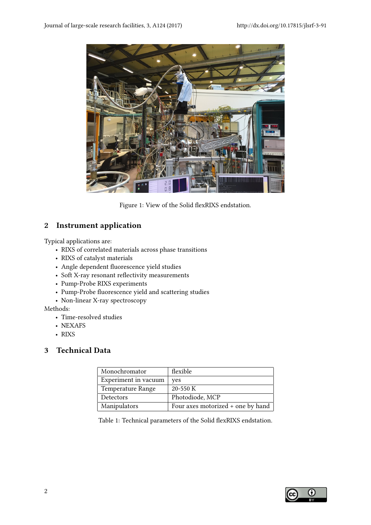

Figure 1: View of the Solid flexRIXS endstation.

## 2 Instrument application

Typical applications are:

- RIXS of correlated materials across phase transitions
- RIXS of catalyst materials
- Angle dependent fluorescence yield studies
- Soft X-ray resonant reflectivity measurements
- Pump-Probe RIXS experiments
- Pump-Probe fluorescence yield and scattering studies
- Non-linear X-ray spectroscopy

Methods:

- Time-resolved studies
- NEXAFS
- RIXS

### 3 Technical Data

| Monochromator        | flexible                          |
|----------------------|-----------------------------------|
| Experiment in vacuum | <b>ves</b>                        |
| Temperature Range    | $20 - 550$ K                      |
| Detectors            | Photodiode, MCP                   |
| Manipulators         | Four axes motorized + one by hand |

Table 1: Technical parameters of the Solid flexRIXS endstation.